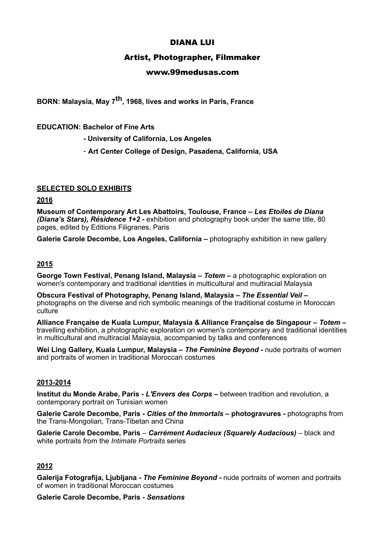# DIANA LUI

# Artist, Photographer, Filmmaker

### www.99medusas.com

**BORN: Malaysia, May 7th, 1968, lives and works in Paris, France** 

### **EDUCATION: Bachelor of Fine Arts**

- **University of California, Los Angeles**
- **Art Center College of Design, Pasadena, California, USA**

### **SELECTED SOLO EXHIBITS**

### **2016**

**Museum of Contemporary Art Les Abattoirs, Toulouse, France –** *Les Etoiles de Diana (Diana's Stars), Résidence 1+2 -* exhibition and photography book under the same title, 80 pages, edited by Editions Filigranes, Paris

**Galerie Carole Decombe, Los Angeles, California –** photography exhibition in new gallery

### **2015**

**George Town Festival, Penang Island, Malaysia –** *Totem –* a photographic exploration on women's contemporary and traditional identities in multicultural and multiracial Malaysia

**Obscura Festival of Photography, Penang Island, Malaysia –** *The Essential Veil –*  photographs on the diverse and rich symbolic meanings of the traditional costume in Moroccan **culture** 

**Alliance Française de Kuala Lumpur, Malaysia & Alliance Française de Singapour –** *Totem –* travelling exhibition, a photographic exploration on women's contemporary and traditional identities in multicultural and multiracial Malaysia, accompanied by talks and conferences

Wei Ling Gallery, Kuala Lumpur, Malaysia - The Feminine Beyond - nude portraits of women and portraits of women in traditional Moroccan costumes

### **2013-2014**

**Institut du Monde Arabe, Paris -** *L'Envers des Corps* **–** between tradition and revolution, a contemporary portrait on Tunisian women

**Galerie Carole Decombe, Paris -** *Cities of the Immortals* **– photogravures -** photographs from the Trans-Mongolian, Trans-Tibetan and China

**Galerie Carole Decombe, Paris** – *Carrément Audacieux (Squarely Audacious)* – black and white portraits from the *Intimate Portraits* series

# **2012**

**Galerija Fotografija, Ljubljana -** *The Feminine Beyond* **-** nude portraits of women and portraits of women in traditional Moroccan costumes

**Galerie Carole Decombe, Paris -** *Sensations*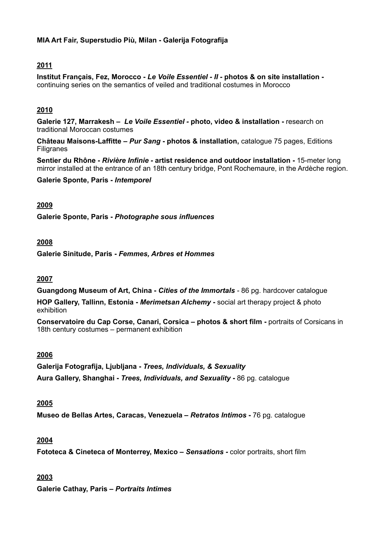### **MIA Art Fair, Superstudio Più, Milan - Galerija Fotografija**

# **2011**

**Institut Français, Fez, Morocco -** *Le Voile Essentiel - II -* **photos & on site installation**  continuing series on the semantics of veiled and traditional costumes in Morocco

## **2010**

**Galerie 127, Marrakesh –** *Le Voile Essentiel -* **photo, video & installation -** research on traditional Moroccan costumes

**Château Maisons-Laffitte –** *Pur Sang* **- photos & installation,** catalogue 75 pages, Editions Filigranes

**Sentier du Rhône -** *Rivière Infinie -* **artist residence and outdoor installation -** 15-meter long mirror installed at the entrance of an 18th century bridge, Pont Rochemaure, in the Ardèche region.

**Galerie Sponte, Paris -** *Intemporel*

### **2009**

**Galerie Sponte, Paris -** *Photographe sous influences*

### **2008**

**Galerie Sinitude, Paris -** *Femmes, Arbres et Hommes*

### **2007**

**Guangdong Museum of Art, China -** *Cities of the Immortals -* 86 pg. hardcover catalogue

**HOP Gallery, Tallinn, Estonia -** *Merimetsan Alchemy* **-** social art therapy project & photo exhibition

**Conservatoire du Cap Corse, Canari, Corsica – photos & short film -** portraits of Corsicans in 18th century costumes – permanent exhibition

### **2006**

**Galerija Fotografija, Ljubljana -** *Trees, Individuals, & Sexuality* **Aura Gallery, Shanghai -** *Trees, Individuals, and Sexuality* **-** 86 pg. catalogue

### **2005**

**Museo de Bellas Artes, Caracas, Venezuela –** *Retratos Intimos* **-** 76 pg. catalogue

### **2004**

**Fototeca & Cineteca of Monterrey, Mexico –** *Sensations -* color portraits, short film

### **2003**

**Galerie Cathay, Paris –** *Portraits Intimes*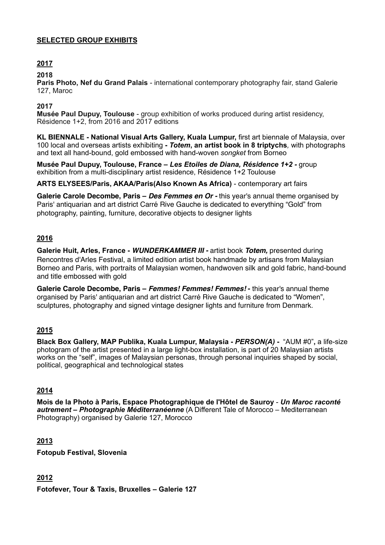### **SELECTED GROUP EXHIBITS**

# **2017**

### **2018**

**Paris Photo, Nef du Grand Palais** - international contemporary photography fair, stand Galerie 127, Maroc

### **2017**

**Musée Paul Dupuy, Toulouse** - group exhibition of works produced during artist residency, Résidence 1+2, from 2016 and 2017 editions

**KL BIENNALE - National Visual Arts Gallery, Kuala Lumpur,** first art biennale of Malaysia, over 100 local and overseas artists exhibiting **-** *Totem***, an artist book in 8 triptychs***,* with photographs and text all hand-bound, gold embossed with hand-woven *songket* from Borneo

**Musée Paul Dupuy, Toulouse, France –** *Les Etoiles de Diana, Résidence 1+2 -* group exhibition from a multi-disciplinary artist residence, Résidence 1+2 Toulouse

**ARTS ELYSEES/Paris, AKAA/Paris(Also Known As Africa)** - contemporary art fairs

**Galerie Carole Decombe, Paris –** *Des Femmes en Or -* this year's annual theme organised by Paris' antiquarian and art district Carré Rive Gauche is dedicated to everything "Gold" from photography, painting, furniture, decorative objects to designer lights

### **2016**

**Galerie Huit, Arles, France -** *WUNDERKAMMER III -* artist book *Totem,* presented during Rencontres d'Arles Festival, a limited edition artist book handmade by artisans from Malaysian Borneo and Paris, with portraits of Malaysian women, handwoven silk and gold fabric, hand-bound and title embossed with gold

**Galerie Carole Decombe, Paris –** *Femmes! Femmes! Femmes!* **-** this year's annual theme organised by Paris' antiquarian and art district Carré Rive Gauche is dedicated to "Women", sculptures, photography and signed vintage designer lights and furniture from Denmark.

# **2015**

**Black Box Gallery, MAP Publika, Kuala Lumpur, Malaysia -** *PERSON(A)* **-** "AUM #0"**,** a life-size photogram of the artist presented in a large light-box installation, is part of 20 Malaysian artists works on the "self", images of Malaysian personas, through personal inquiries shaped by social, political, geographical and technological states

### **2014**

**Mois de la Photo à Paris, Espace Photographique de l'Hôtel de Sauroy** - *Un Maroc raconté autrement – Photographie Méditerranéenne* (A Different Tale of Morocco – Mediterranean Photography) organised by Galerie 127, Morocco

### **2013**

**Fotopub Festival, Slovenia**

# **2012**

**Fotofever, Tour & Taxis, Bruxelles – Galerie 127**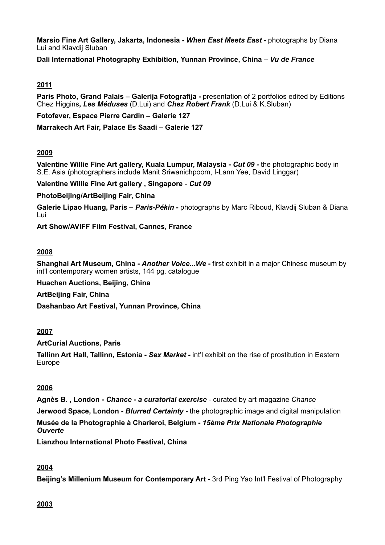**Marsio Fine Art Gallery, Jakarta, Indonesia -** *When East Meets East -* photographs by Diana Lui and Klavdij Sluban

**Dali International Photography Exhibition, Yunnan Province, China –** *Vu de France*

# **2011**

**Paris Photo, Grand Palais – Galerija Fotografija -** presentation of 2 portfolios edited by Editions Chez Higgins**,** *Les Méduses* (D.Lui) and *Chez Robert Frank* (D.Lui & K.Sluban)

**Fotofever, Espace Pierre Cardin – Galerie 127** 

**Marrakech Art Fair, Palace Es Saadi – Galerie 127** 

# **2009**

**Valentine Willie Fine Art gallery, Kuala Lumpur, Malaysia - Cut 09 - the photographic body in** S.E. Asia (photographers include Manit Sriwanichpoom, I-Lann Yee, David Linggar)

**Valentine Willie Fine Art gallery , Singapore** - *Cut 09*

**PhotoBeijing/ArtBeijing Fair, China** 

**Galerie Lipao Huang, Paris –** *Paris-Pékin -* photographs by Marc Riboud, Klavdij Sluban & Diana Lui

**Art Show/AVIFF Film Festival, Cannes, France** 

### **2008**

**Shanghai Art Museum, China -** *Another Voice...We* **-** first exhibit in a major Chinese museum by int'l contemporary women artists, 144 pg. catalogue

**Huachen Auctions, Beijing, China**

**ArtBeijing Fair, China** 

**Dashanbao Art Festival, Yunnan Province, China**

# **2007**

**ArtCurial Auctions, Paris** 

**Tallinn Art Hall, Tallinn, Estonia -** *Sex Market -* int'l exhibit on the rise of prostitution in Eastern Europe

# **2006**

**Agnès B. , London -** *Chance - a curatorial exercise* - curated by art magazine *Chance* **Jerwood Space, London -** *Blurred Certainty* **-** the photographic image and digital manipulation **Musée de la Photographie à Charleroi, Belgium -** *15ème Prix Nationale Photographie Ouverte* 

**Lianzhou International Photo Festival, China** 

# **2004**

**Beijing's Millenium Museum for Contemporary Art -** 3rd Ping Yao Int'l Festival of Photography

### **2003**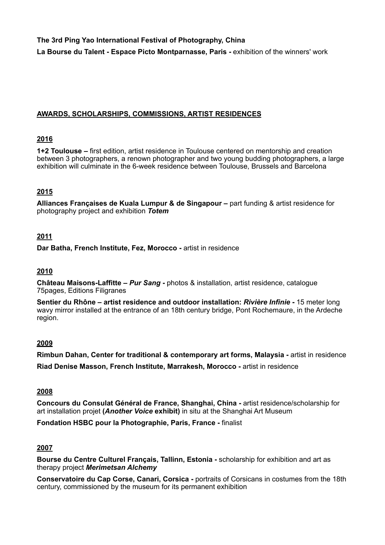**The 3rd Ping Yao International Festival of Photography, China La Bourse du Talent - Espace Picto Montparnasse, Paris -** exhibition of the winners' work

### **AWARDS, SCHOLARSHIPS, COMMISSIONS, ARTIST RESIDENCES**

### **2016**

**1+2 Toulouse –** first edition, artist residence in Toulouse centered on mentorship and creation between 3 photographers, a renown photographer and two young budding photographers, a large exhibition will culminate in the 6-week residence between Toulouse, Brussels and Barcelona

# **2015**

**Alliances Françaises de Kuala Lumpur & de Singapour –** part funding & artist residence for photography project and exhibition *Totem*

### **2011**

**Dar Batha, French Institute, Fez, Morocco -** artist in residence

### **2010**

**Château Maisons-Laffitte –** *Pur Sang* **-** photos & installation, artist residence, catalogue 75pages, Editions Filigranes

**Sentier du Rhône – artist residence and outdoor installation:** *Rivière Infinie* **-** 15 meter long wavy mirror installed at the entrance of an 18th century bridge, Pont Rochemaure, in the Ardeche region.

### **2009**

**Rimbun Dahan, Center for traditional & contemporary art forms, Malaysia -** artist in residence **Riad Denise Masson, French Institute, Marrakesh, Morocco -** artist in residence

### **2008**

**Concours du Consulat Général de France, Shanghai, China -** artist residence/scholarship for art installation projet **(***Another Voice* **exhibit)** in situ at the Shanghai Art Museum

**Fondation HSBC pour la Photographie, Paris, France -** finalist

### **2007**

**Bourse du Centre Culturel Français, Tallinn, Estonia -** scholarship for exhibition and art as therapy project *Merimetsan Alchemy*

**Conservatoire du Cap Corse, Canari, Corsica -** portraits of Corsicans in costumes from the 18th century, commissioned by the museum for its permanent exhibition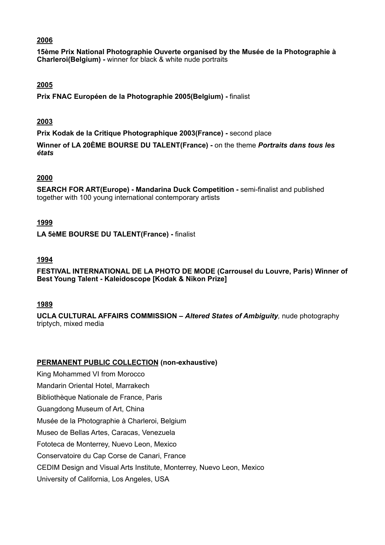### **2006**

**15ème Prix National Photographie Ouverte organised by the Musée de la Photographie à Charleroi(Belgium) -** winner for black & white nude portraits

### **2005**

**Prix FNAC Européen de la Photographie 2005(Belgium) -** finalist

### **2003**

**Prix Kodak de la Critique Photographique 2003(France) -** second place

**Winner of LA 20ÈME BOURSE DU TALENT(France) -** on the theme *Portraits dans tous les états*

### **2000**

**SEARCH FOR ART(Europe) - Mandarina Duck Competition -** semi-finalist and published together with 100 young international contemporary artists

### **1999**

**LA 5èME BOURSE DU TALENT(France) -** finalist

### **1994**

**FESTIVAL INTERNATIONAL DE LA PHOTO DE MODE (Carrousel du Louvre, Paris) Winner of Best Young Talent - Kaleidoscope [Kodak & Nikon Prize]**

### **1989**

**UCLA CULTURAL AFFAIRS COMMISSION –** *Altered States of Ambiguity,* nude photography triptych, mixed media

### **PERMANENT PUBLIC COLLECTION (non-exhaustive)**

King Mohammed VI from Morocco Mandarin Oriental Hotel, Marrakech Bibliothèque Nationale de France, Paris Guangdong Museum of Art, China Musée de la Photographie à Charleroi, Belgium Museo de Bellas Artes, Caracas, Venezuela Fototeca de Monterrey, Nuevo Leon, Mexico Conservatoire du Cap Corse de Canari, France CEDIM Design and Visual Arts Institute, Monterrey, Nuevo Leon, Mexico University of California, Los Angeles, USA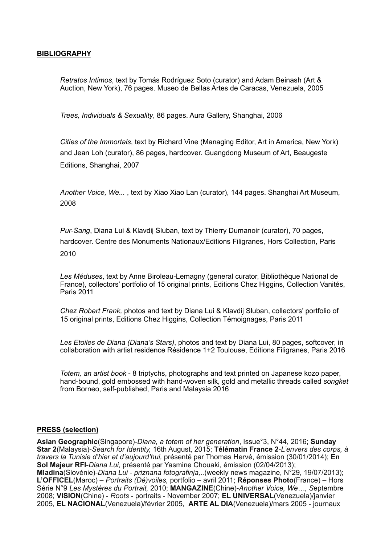#### **BIBLIOGRAPHY**

*Retratos Intimos*, text by Tomás Rodríguez Soto (curator) and Adam Beinash (Art & Auction, New York), 76 pages. Museo de Bellas Artes de Caracas, Venezuela, 2005

*Trees, Individuals & Sexuality*, 86 pages. Aura Gallery, Shanghai, 2006

*Cities of the Immortals*, text by Richard Vine (Managing Editor, Art in America, New York) and Jean Loh (curator), 86 pages, hardcover. Guangdong Museum of Art, Beaugeste Editions, Shanghai, 2007

*Another Voice, We...* , text by Xiao Xiao Lan (curator), 144 pages. Shanghai Art Museum, 2008

*Pur-Sang*, Diana Lui & Klavdij Sluban, text by Thierry Dumanoir (curator), 70 pages, hardcover. Centre des Monuments Nationaux/Editions Filigranes, Hors Collection, Paris 2010

*Les Méduses*, text by Anne Biroleau-Lemagny (general curator, Bibliothèque National de France), collectors' portfolio of 15 original prints, Editions Chez Higgins, Collection Vanités, Paris 2011

*Chez Robert Frank,* photos and text by Diana Lui & Klavdij Sluban, collectors' portfolio of 15 original prints, Editions Chez Higgins, Collection Témoignages, Paris 2011

*Les Etoiles de Diana (Diana's Stars)*, photos and text by Diana Lui, 80 pages, softcover, in collaboration with artist residence Résidence 1+2 Toulouse, Editions Filigranes, Paris 2016

*Totem, an artist book* - 8 triptychs, photographs and text printed on Japanese kozo paper, hand-bound, gold embossed with hand-woven silk, gold and metallic threads called *songket*  from Borneo, self-published, Paris and Malaysia 2016

#### **PRESS (selection)**

**Asian Geographic**(Singapore)-*Diana, a totem of her generation*, Issue°3, N°44, 2016; **Sunday Star 2**(Malaysia)-*Search for Identity,* 16th August, 2015; **Télématin France 2**-*L'envers des corps, à travers la Tunisie d'hier et d'aujourd'hui,* présenté par Thomas Hervé, émission (30/01/2014); **En Sol Majeur RFI**-*Diana Lui,* présenté par Yasmine Chouaki, émission (02/04/2013); **Mladina**(Slovénie)-*Diana Lui - priznana fotografinja,..*(weekly news magazine, N°29, 19/07/2013); **L'OFFICEL**(Maroc) – *Portraits (Dé)voiles,* portfolio – avril 2011; **Réponses Photo**(France) – Hors Série N°9 *Les Mystères du Portrait,* 2010; **MANGAZINE**(Chine)-*Another Voice, We…, S*eptembre 2008; **VISION**(Chine) - *Roots* - portraits - November 2007; **EL UNIVERSAL**(Venezuela)/janvier 2005, **EL NACIONAL**(Venezuela)/février 2005, **ARTE AL DIA**(Venezuela)/mars 2005 - journaux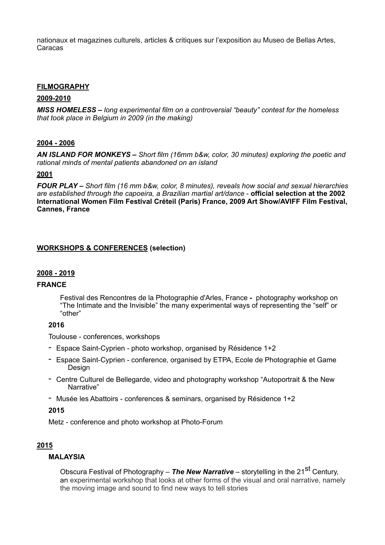nationaux et magazines culturels, articles & critiques sur l'exposition au Museo de Bellas Artes, Caracas

### **FILMOGRAPHY**

#### **2009-2010**

*MISS HOMELESS* **–** *long experimental film on a controversial "beauty" contest for the homeless that took place in Belgium in 2009 (in the making)* 

### **2004 - 2006**

*AN ISLAND FOR MONKEYS* **–** *Short film (16mm b&w, color, 30 minutes) exploring the poetic and rational minds of mental patients abandoned on an island* 

#### **2001**

*FOUR PLAY* **–** *Short film (16 mm b&w, color, 8 minutes), reveals how social and sexual hierarchies are established through the capoeira, a Brazilian martial art/dance* - **official selection at the 2002 International Women Film Festival Créteil (Paris) France, 2009 Art Show/AVIFF Film Festival, Cannes, France** 

### **WORKSHOPS & CONFERENCES (selection)**

#### **2008 - 2019**

#### **FRANCE**

Festival des Rencontres de la Photographie d'Arles, France **-** photography workshop on "The Intimate and the Invisible" the many experimental ways of representing the "self" or "other"

#### **2016**

Toulouse - conferences, workshops

- Espace Saint-Cyprien photo workshop, organised by Résidence 1+2
- Espace Saint-Cyprien conference, organised by ETPA, Ecole de Photographie et Game Design
- Centre Culturel de Bellegarde, video and photography workshop "Autoportrait & the New Narrative"
- Musée les Abattoirs conferences & seminars, organised by Résidence 1+2

**2015** 

Metz - conference and photo workshop at Photo-Forum

### **2015**

### **MALAYSIA**

Obscura Festival of Photography – **The New Narrative** – storytelling in the 21<sup>St</sup> Century. an experimental workshop that looks at other forms of the visual and oral narrative, namely the moving image and sound to find new ways to tell stories